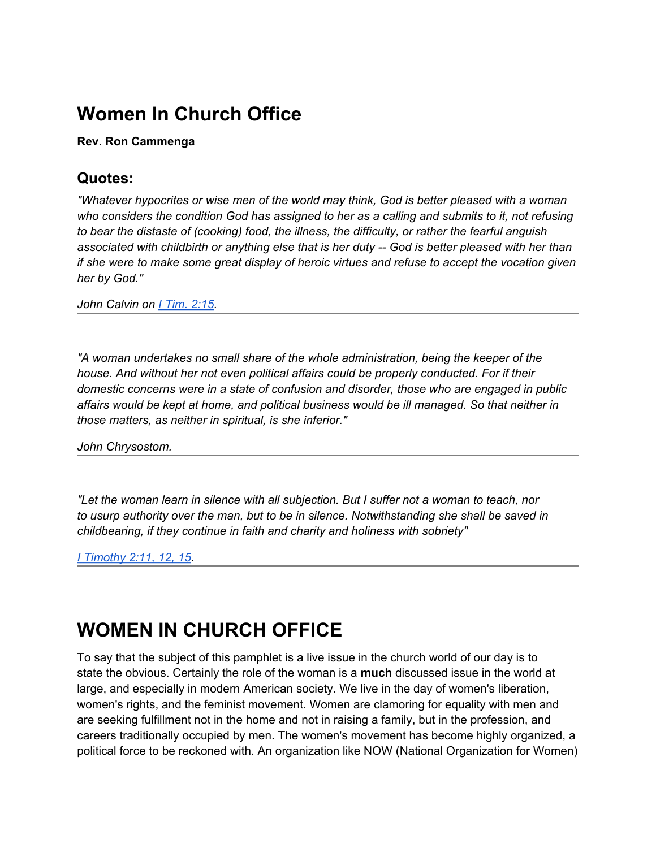# **Women In Church Office**

#### **Rev. Ron Cammenga**

#### **Quotes:**

*"Whatever hypocrites or wise men of the world may think, God is better pleased with a woman who considers the condition God has assigned to her as a calling and submits to it, not refusing to bear the distaste of (cooking) food, the illness, the difficulty, or rather the fearful anguish associated with childbirth or anything else that is her duty -- God is better pleased with her than if she were to make some great display of heroic virtues and refuse to accept the vocation given her by God."*

*John Calvin on [I](http://bible.gospelcom.net/bible?version=KJV&passage=I+Tim+2:15) [Tim. 2:15.](http://bible.gospelcom.net/bible?version=KJV&passage=I+Tim+2:15)*

*"A woman undertakes no small share of the whole administration, being the keeper of the house. And without her not even political affairs could be properly conducted. For if their domestic concerns were in a state of confusion and disorder, those who are engaged in public affairs would be kept at home, and political business would be ill managed. So that neither in those matters, as neither in spiritual, is she inferior."*

*John Chrysostom.*

*"Let the woman learn in silence with all subjection. But I suffer not a woman to teach, nor to usurp authority over the man, but to be in silence. Notwithstanding she shall be saved in childbearing, if they continue in faith and charity and holiness with sobriety"*

*[I](http://bible.gospelcom.net/bible?version=KJV&passage=I+Timothy+2:11,12,15) [Timothy 2:11, 12, 15](http://bible.gospelcom.net/bible?version=KJV&passage=I+Timothy+2:11,12,15).*

# **WOMEN IN CHURCH OFFICE**

To say that the subject of this pamphlet is a live issue in the church world of our day is to state the obvious. Certainly the role of the woman is a **much** discussed issue in the world at large, and especially in modern American society. We live in the day of women's liberation, women's rights, and the feminist movement. Women are clamoring for equality with men and are seeking fulfillment not in the home and not in raising a family, but in the profession, and careers traditionally occupied by men. The women's movement has become highly organized, a political force to be reckoned with. An organization like NOW (National Organization for Women)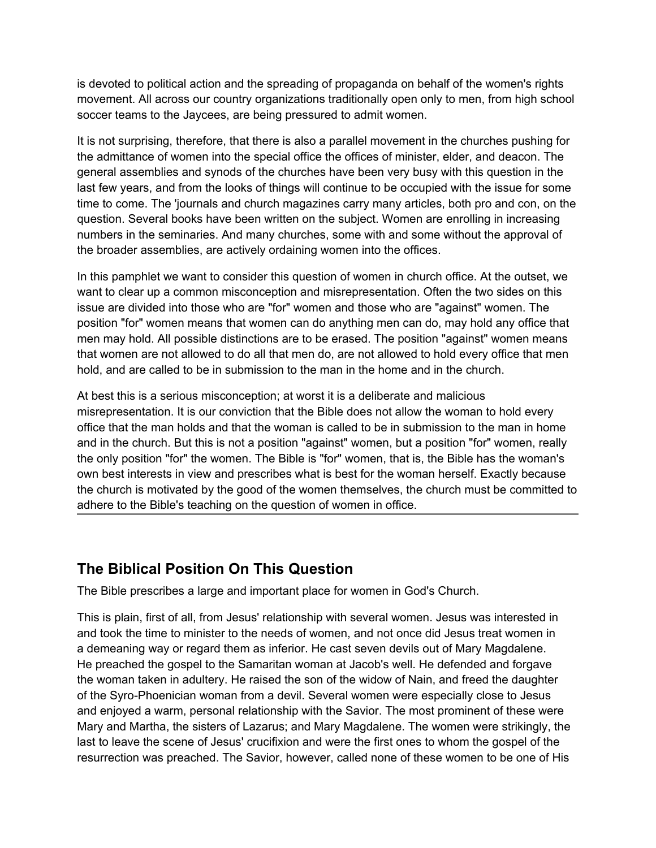is devoted to political action and the spreading of propaganda on behalf of the women's rights movement. All across our country organizations traditionally open only to men, from high school soccer teams to the Jaycees, are being pressured to admit women.

It is not surprising, therefore, that there is also a parallel movement in the churches pushing for the admittance of women into the special office the offices of minister, elder, and deacon. The general assemblies and synods of the churches have been very busy with this question in the last few years, and from the looks of things will continue to be occupied with the issue for some time to come. The 'journals and church magazines carry many articles, both pro and con, on the question. Several books have been written on the subject. Women are enrolling in increasing numbers in the seminaries. And many churches, some with and some without the approval of the broader assemblies, are actively ordaining women into the offices.

In this pamphlet we want to consider this question of women in church office. At the outset, we want to clear up a common misconception and misrepresentation. Often the two sides on this issue are divided into those who are "for" women and those who are "against" women. The position "for" women means that women can do anything men can do, may hold any office that men may hold. All possible distinctions are to be erased. The position "against" women means that women are not allowed to do all that men do, are not allowed to hold every office that men hold, and are called to be in submission to the man in the home and in the church.

At best this is a serious misconception; at worst it is a deliberate and malicious misrepresentation. It is our conviction that the Bible does not allow the woman to hold every office that the man holds and that the woman is called to be in submission to the man in home and in the church. But this is not a position "against" women, but a position "for" women, really the only position "for" the women. The Bible is "for" women, that is, the Bible has the woman's own best interests in view and prescribes what is best for the woman herself. Exactly because the church is motivated by the good of the women themselves, the church must be committed to adhere to the Bible's teaching on the question of women in office.

#### **The Biblical Position On This Question**

The Bible prescribes a large and important place for women in God's Church.

This is plain, first of all, from Jesus' relationship with several women. Jesus was interested in and took the time to minister to the needs of women, and not once did Jesus treat women in a demeaning way or regard them as inferior. He cast seven devils out of Mary Magdalene. He preached the gospel to the Samaritan woman at Jacob's well. He defended and forgave the woman taken in adultery. He raised the son of the widow of Nain, and freed the daughter of the Syro-Phoenician woman from a devil. Several women were especially close to Jesus and enjoyed a warm, personal relationship with the Savior. The most prominent of these were Mary and Martha, the sisters of Lazarus; and Mary Magdalene. The women were strikingly, the last to leave the scene of Jesus' crucifixion and were the first ones to whom the gospel of the resurrection was preached. The Savior, however, called none of these women to be one of His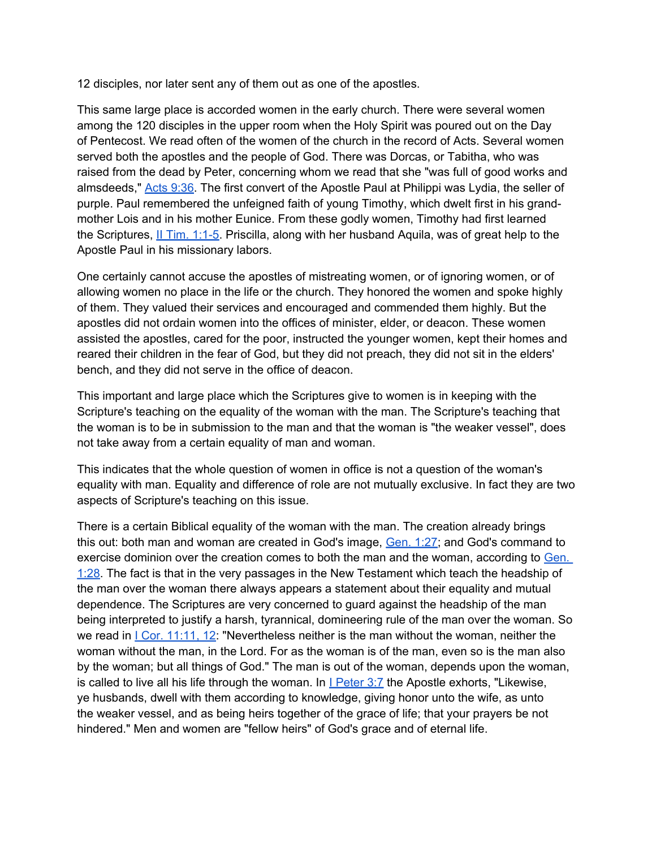12 disciples, nor later sent any of them out as one of the apostles.

This same large place is accorded women in the early church. There were several women among the 120 disciples in the upper room when the Holy Spirit was poured out on the Day of Pentecost. We read often of the women of the church in the record of Acts. Several women served both the apostles and the people of God. There was Dorcas, or Tabitha, who was raised from the dead by Peter, concerning whom we read that she "was full of good works and almsdeeds," [Acts 9:36](http://bible.gospelcom.net/bible?version=KJV&passage=Acts+9:36). The first convert of the Apostle Paul at Philippi was Lydia, the seller of purple. Paul remembered the unfeigned faith of young Timothy, which dwelt first in his grandmother Lois and in his mother Eunice. From these godly women, Timothy had first learned the Scriptures, *[II](http://bible.gospelcom.net/bible?version=KJV&passage=II+Tim+1:1-5) Tim. 1:1-5*. Priscilla, along with her husband Aquila, was of great help to the Apostle Paul in his missionary labors.

One certainly cannot accuse the apostles of mistreating women, or of ignoring women, or of allowing women no place in the life or the church. They honored the women and spoke highly of them. They valued their services and encouraged and commended them highly. But the apostles did not ordain women into the offices of minister, elder, or deacon. These women assisted the apostles, cared for the poor, instructed the younger women, kept their homes and reared their children in the fear of God, but they did not preach, they did not sit in the elders' bench, and they did not serve in the office of deacon.

This important and large place which the Scriptures give to women is in keeping with the Scripture's teaching on the equality of the woman with the man. The Scripture's teaching that the woman is to be in submission to the man and that the woman is "the weaker vessel", does not take away from a certain equality of man and woman.

This indicates that the whole question of women in office is not a question of the woman's equality with man. Equality and difference of role are not mutually exclusive. In fact they are two aspects of Scripture's teaching on this issue.

There is a certain Biblical equality of the woman with the man. The creation already brings this out: both man and woman are created in God's image, [Gen. 1:27;](http://bible.gospelcom.net/bible?version=KJV&passage=Gen+1:27) and God's command to exercise dominion over the creation comes to both the man and the woman, according to Gen. [1:28](http://bible.gospelcom.net/bible?version=KJV&passage=Gen+1:28). The fact is that in the very passages in the New Testament which teach the headship of the man over the woman there always appears a statement about their equality and mutual dependence. The Scriptures are very concerned to guard against the headship of the man being interpreted to justify a harsh, tyrannical, domineering rule of the man over the woman. So we read in  $|$  [Cor. 11:11, 12:](http://bible.gospelcom.net/bible?version=KJV&passage=I+Cor+11:11,12) "Nevertheless neither is the man without the woman, neither the woman without the man, in the Lord. For as the woman is of the man, even so is the man also by the woman; but all things of God." The man is out of the woman, depends upon the woman, is called to live all his life through the woman. [I](http://bible.gospelcom.net/bible?version=KJV&passage=I+Peter+3:7)n **I [Peter 3:7](http://bible.gospelcom.net/bible?version=KJV&passage=I+Peter+3:7)** the Apostle exhorts, "Likewise, ye husbands, dwell with them according to knowledge, giving honor unto the wife, as unto the weaker vessel, and as being heirs together of the grace of life; that your prayers be not hindered." Men and women are "fellow heirs" of God's grace and of eternal life.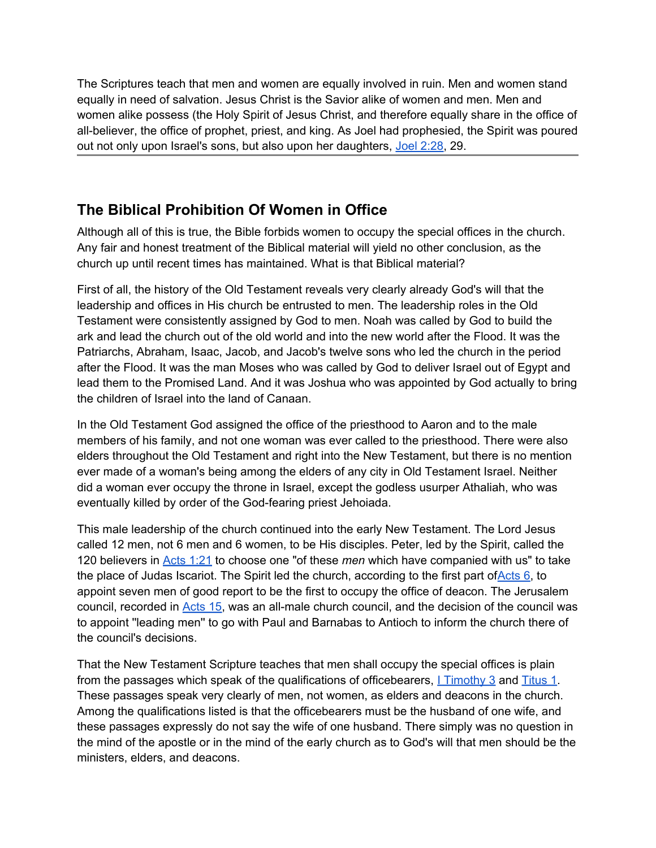The Scriptures teach that men and women are equally involved in ruin. Men and women stand equally in need of salvation. Jesus Christ is the Savior alike of women and men. Men and women alike possess (the Holy Spirit of Jesus Christ, and therefore equally share in the office of all-believer, the office of prophet, priest, and king. As Joel had prophesied, the Spirit was poured out not only upon Israel's sons, but also upon her daughters, [Joel 2:28](http://bible.gospelcom.net/bible?version=KJV&passage=Joel+2:28), 29.

# **The Biblical Prohibition Of Women in Office**

Although all of this is true, the Bible forbids women to occupy the special offices in the church. Any fair and honest treatment of the Biblical material will yield no other conclusion, as the church up until recent times has maintained. What is that Biblical material?

First of all, the history of the Old Testament reveals very clearly already God's will that the leadership and offices in His church be entrusted to men. The leadership roles in the Old Testament were consistently assigned by God to men. Noah was called by God to build the ark and lead the church out of the old world and into the new world after the Flood. It was the Patriarchs, Abraham, Isaac, Jacob, and Jacob's twelve sons who led the church in the period after the Flood. It was the man Moses who was called by God to deliver Israel out of Egypt and lead them to the Promised Land. And it was Joshua who was appointed by God actually to bring the children of Israel into the land of Canaan.

In the Old Testament God assigned the office of the priesthood to Aaron and to the male members of his family, and not one woman was ever called to the priesthood. There were also elders throughout the Old Testament and right into the New Testament, but there is no mention ever made of a woman's being among the elders of any city in Old Testament Israel. Neither did a woman ever occupy the throne in Israel, except the godless usurper Athaliah, who was eventually killed by order of the God-fearing priest Jehoiada.

This male leadership of the church continued into the early New Testament. The Lord Jesus called 12 men, not 6 men and 6 women, to be His disciples. Peter, led by the Spirit, called the 120 believers in [Acts 1:21](http://bible.gospelcom.net/bible?version=KJV&passage=Acts+1:21) to choose one "of these *men* which have companied with us" to take the place of Judas Iscariot. The Spirit led the church, according to the first part of  $\frac{\text{Acts } 6}{\text{c}}$  to appoint seven men of good report to be the first to occupy the office of deacon. The Jerusalem council, recorded in [Acts 15](http://bible.gospelcom.net/bible?version=KJV&passage=Acts+15), was an all-male church council, and the decision of the council was to appoint ''leading men'' to go with Paul and Barnabas to Antioch to inform the church there of the council's decisions.

That the New Testament Scripture teaches that men shall occupy the special offices is plain from the passages which speak of the qualifications of officebearers, [I](http://bible.gospelcom.net/bible?version=KJV&passage=I+Timothy+3) [Timothy 3](http://bible.gospelcom.net/bible?version=KJV&passage=I+Timothy+3) and [Titus 1](http://bible.gospelcom.net/bible?version=KJV&passage=Titus+1). These passages speak very clearly of men, not women, as elders and deacons in the church. Among the qualifications listed is that the officebearers must be the husband of one wife, and these passages expressly do not say the wife of one husband. There simply was no question in the mind of the apostle or in the mind of the early church as to God's will that men should be the ministers, elders, and deacons.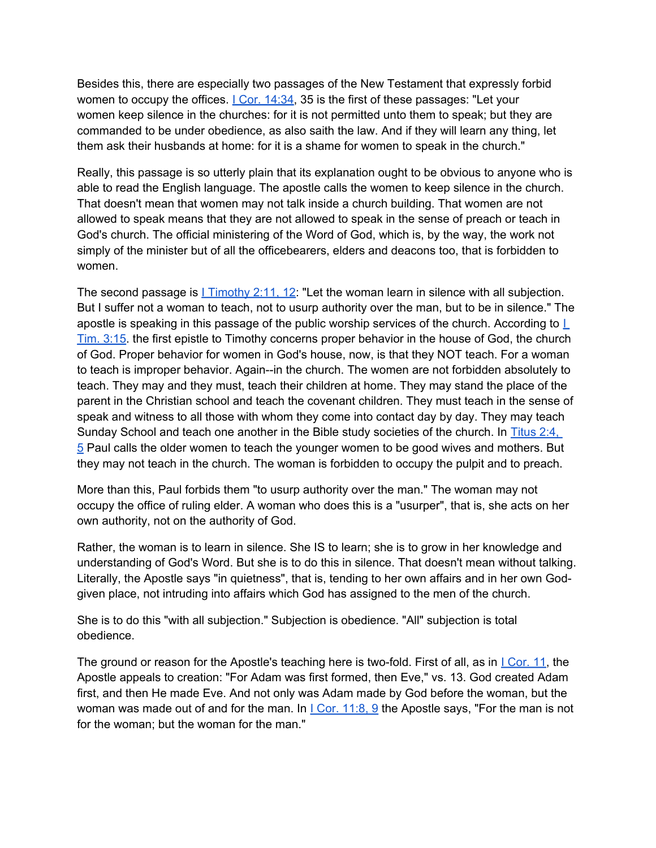Besides this, there are especially two passages of the New Testament that expressly forbid women to occupy the offices.  $|$  [Cor. 14:34](http://bible.gospelcom.net/bible?version=KJV&passage=I+Cor+14:34), 35 is the first of these passages: "Let your women keep silence in the churches: for it is not permitted unto them to speak; but they are commanded to be under obedience, as also saith the law. And if they will learn any thing, let them ask their husbands at home: for it is a shame for women to speak in the church."

Really, this passage is so utterly plain that its explanation ought to be obvious to anyone who is able to read the English language. The apostle calls the women to keep silence in the church. That doesn't mean that women may not talk inside a church building. That women are not allowed to speak means that they are not allowed to speak in the sense of preach or teach in God's church. The official ministering of the Word of God, which is, by the way, the work not simply of the minister but of all the officebearers, elders and deacons too, that is forbidden to women.

The second passage is  $L Timothy 2:11, 12$  $L Timothy 2:11, 12$  $L Timothy 2:11, 12$ . "Let the woman learn in silence with all subjection.</u> But I suffer not a woman to teach, not to usurp authority over the man, but to be in silence." The apostle is speaking in this passage of the public worship services of the church. According to  $I$ [Tim. 3:15.](http://bible.gospelcom.net/bible?version=KJV&passage=I+Tim+3:15) the first epistle to Timothy concerns proper behavior in the house of God, the church of God. Proper behavior for women in God's house, now, is that they NOT teach. For a woman to teach is improper behavior. Again--in the church. The women are not forbidden absolutely to teach. They may and they must, teach their children at home. They may stand the place of the parent in the Christian school and teach the covenant children. They must teach in the sense of speak and witness to all those with whom they come into contact day by day. They may teach Sunday School and teach one another in the Bible study societies of the church. In [Titus 2:4,](http://bible.gospelcom.net/bible?version=KJV&passage=Titus+2:4,5)  [5](http://bible.gospelcom.net/bible?version=KJV&passage=Titus+2:4,5) Paul calls the older women to teach the younger women to be good wives and mothers. But they may not teach in the church. The woman is forbidden to occupy the pulpit and to preach.

More than this, Paul forbids them "to usurp authority over the man." The woman may not occupy the office of ruling elder. A woman who does this is a "usurper", that is, she acts on her own authority, not on the authority of God.

Rather, the woman is to learn in silence. She IS to learn; she is to grow in her knowledge and understanding of God's Word. But she is to do this in silence. That doesn't mean without talking. Literally, the Apostle says "in quietness", that is, tending to her own affairs and in her own Godgiven place, not intruding into affairs which God has assigned to the men of the church.

She is to do this "with all subjection." Subjection is obedience. "All" subjection is total obedience.

The ground or reason for the Apostle's teaching here is two-fold. First of all, as in L[Cor. 11](http://bible.gospelcom.net/bible?version=KJV&passage=I+Cor+11), the Apostle appeals to creation: "For Adam was first formed, then Eve," vs. 13. God created Adam first, and then He made Eve. And not only was Adam made by God before the woman, but the woman was made out of and for the man. [I](http://bible.gospelcom.net/bible?version=KJV&passage=I+Cor+11:8,9)n  $|$  [Cor. 11:8, 9](http://bible.gospelcom.net/bible?version=KJV&passage=I+Cor+11:8,9) the Apostle says, "For the man is not for the woman; but the woman for the man."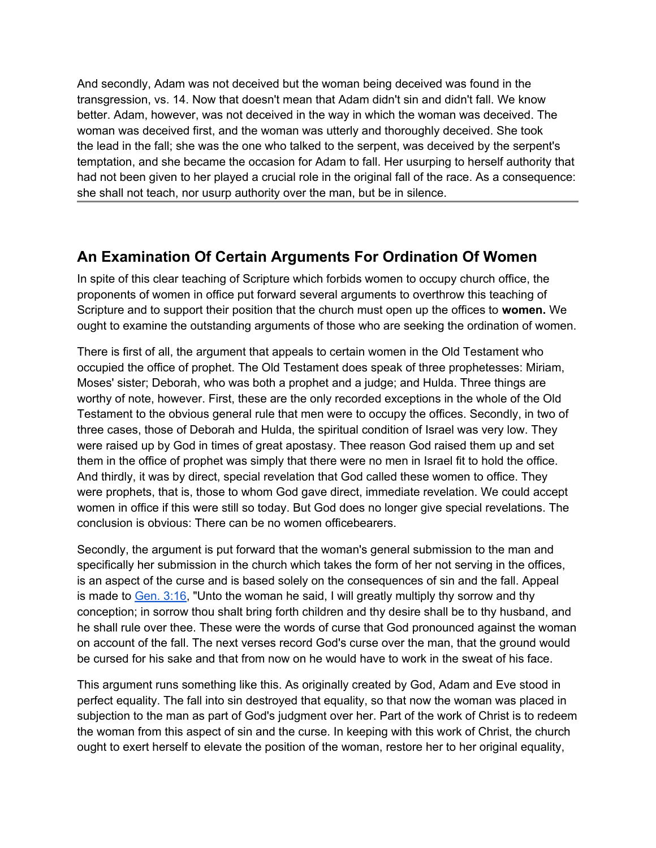And secondly, Adam was not deceived but the woman being deceived was found in the transgression, vs. 14. Now that doesn't mean that Adam didn't sin and didn't fall. We know better. Adam, however, was not deceived in the way in which the woman was deceived. The woman was deceived first, and the woman was utterly and thoroughly deceived. She took the lead in the fall; she was the one who talked to the serpent, was deceived by the serpent's temptation, and she became the occasion for Adam to fall. Her usurping to herself authority that had not been given to her played a crucial role in the original fall of the race. As a consequence: she shall not teach, nor usurp authority over the man, but be in silence.

### **An Examination Of Certain Arguments For Ordination Of Women**

In spite of this clear teaching of Scripture which forbids women to occupy church office, the proponents of women in office put forward several arguments to overthrow this teaching of Scripture and to support their position that the church must open up the offices to **women.** We ought to examine the outstanding arguments of those who are seeking the ordination of women.

There is first of all, the argument that appeals to certain women in the Old Testament who occupied the office of prophet. The Old Testament does speak of three prophetesses: Miriam, Moses' sister; Deborah, who was both a prophet and a judge; and Hulda. Three things are worthy of note, however. First, these are the only recorded exceptions in the whole of the Old Testament to the obvious general rule that men were to occupy the offices. Secondly, in two of three cases, those of Deborah and Hulda, the spiritual condition of Israel was very low. They were raised up by God in times of great apostasy. Thee reason God raised them up and set them in the office of prophet was simply that there were no men in Israel fit to hold the office. And thirdly, it was by direct, special revelation that God called these women to office. They were prophets, that is, those to whom God gave direct, immediate revelation. We could accept women in office if this were still so today. But God does no longer give special revelations. The conclusion is obvious: There can be no women officebearers.

Secondly, the argument is put forward that the woman's general submission to the man and specifically her submission in the church which takes the form of her not serving in the offices, is an aspect of the curse and is based solely on the consequences of sin and the fall. Appeal is made to  $Gen. 3:16$ , "Unto the woman he said, I will greatly multiply thy sorrow and thy conception; in sorrow thou shalt bring forth children and thy desire shall be to thy husband, and he shall rule over thee. These were the words of curse that God pronounced against the woman on account of the fall. The next verses record God's curse over the man, that the ground would be cursed for his sake and that from now on he would have to work in the sweat of his face.

This argument runs something like this. As originally created by God, Adam and Eve stood in perfect equality. The fall into sin destroyed that equality, so that now the woman was placed in subjection to the man as part of God's judgment over her. Part of the work of Christ is to redeem the woman from this aspect of sin and the curse. In keeping with this work of Christ, the church ought to exert herself to elevate the position of the woman, restore her to her original equality,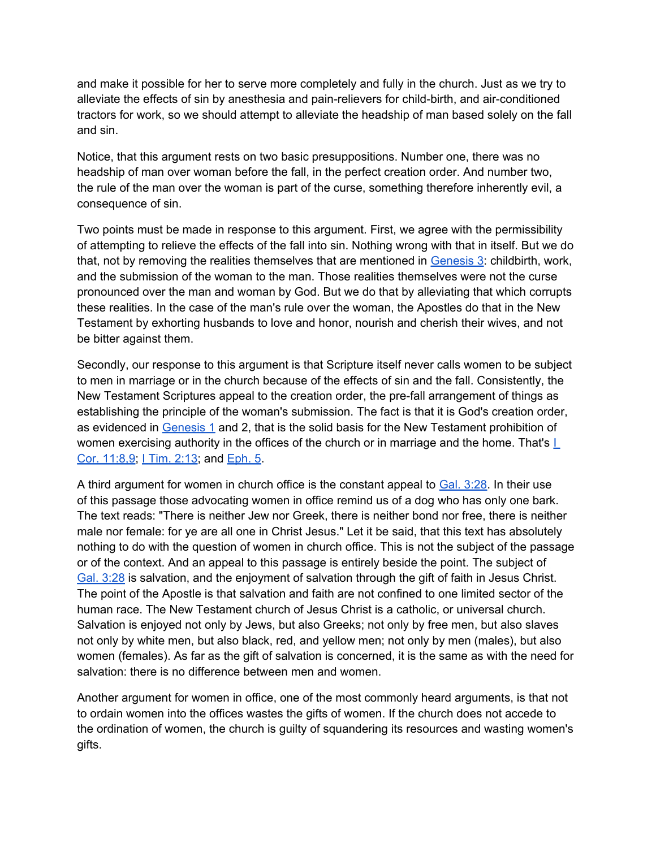and make it possible for her to serve more completely and fully in the church. Just as we try to alleviate the effects of sin by anesthesia and pain-relievers for child-birth, and air-conditioned tractors for work, so we should attempt to alleviate the headship of man based solely on the fall and sin.

Notice, that this argument rests on two basic presuppositions. Number one, there was no headship of man over woman before the fall, in the perfect creation order. And number two, the rule of the man over the woman is part of the curse, something therefore inherently evil, a consequence of sin.

Two points must be made in response to this argument. First, we agree with the permissibility of attempting to relieve the effects of the fall into sin. Nothing wrong with that in itself. But we do that, not by removing the realities themselves that are mentioned in [Genesis 3:](http://bible.gospelcom.net/bible?version=KJV&passage=Genesis+3) childbirth, work, and the submission of the woman to the man. Those realities themselves were not the curse pronounced over the man and woman by God. But we do that by alleviating that which corrupts these realities. In the case of the man's rule over the woman, the Apostles do that in the New Testament by exhorting husbands to love and honor, nourish and cherish their wives, and not be bitter against them.

Secondly, our response to this argument is that Scripture itself never calls women to be subject to men in marriage or in the church because of the effects of sin and the fall. Consistently, the New Testament Scriptures appeal to the creation order, the pre-fall arrangement of things as establishing the principle of the woman's submission. The fact is that it is God's creation order, as evidenced in [Genesis 1](http://bible.gospelcom.net/bible?version=KJV&passage=Genesis+1) and 2, that is the solid basis for the New Testament prohibition of women exercising authority in the offices of the church or in marriage and the home. That's  $L$ [Cor. 11:8,9](http://bible.gospelcom.net/bible?version=KJV&passage=I+Cor+11:8,9); [I](http://bible.gospelcom.net/bible?version=KJV&passage=I+Tim+2:13) [Tim. 2:13](http://bible.gospelcom.net/bible?version=KJV&passage=I+Tim+2:13); and [Eph. 5.](http://bible.gospelcom.net/bible?version=KJV&passage=Eph+5)

A third argument for women in church office is the constant appeal to [Gal. 3:28.](http://bible.gospelcom.net/bible?version=KJV&passage=Gal+3:28) In their use of this passage those advocating women in office remind us of a dog who has only one bark. The text reads: "There is neither Jew nor Greek, there is neither bond nor free, there is neither male nor female: for ye are all one in Christ Jesus." Let it be said, that this text has absolutely nothing to do with the question of women in church office. This is not the subject of the passage or of the context. And an appeal to this passage is entirely beside the point. The subject of [Gal. 3:28](http://bible.gospelcom.net/bible?version=KJV&passage=Gal+3:28) is salvation, and the enjoyment of salvation through the gift of faith in Jesus Christ. The point of the Apostle is that salvation and faith are not confined to one limited sector of the human race. The New Testament church of Jesus Christ is a catholic, or universal church. Salvation is enjoyed not only by Jews, but also Greeks; not only by free men, but also slaves not only by white men, but also black, red, and yellow men; not only by men (males), but also women (females). As far as the gift of salvation is concerned, it is the same as with the need for salvation: there is no difference between men and women.

Another argument for women in office, one of the most commonly heard arguments, is that not to ordain women into the offices wastes the gifts of women. If the church does not accede to the ordination of women, the church is guilty of squandering its resources and wasting women's gifts.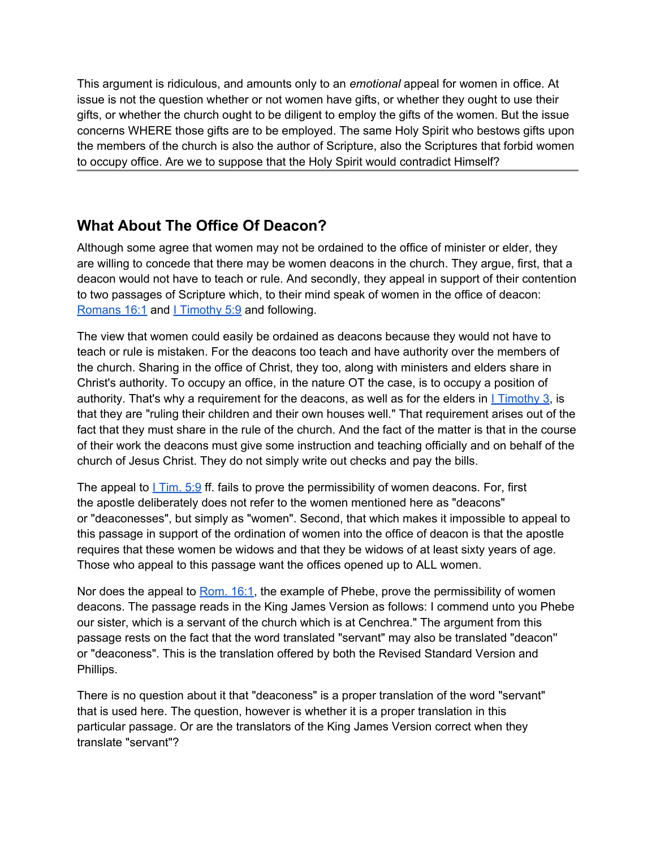This argument is ridiculous, and amounts only to an *emotional* appeal for women in office. At issue is not the question whether or not women have gifts, or whether they ought to use their gifts, or whether the church ought to be diligent to employ the gifts of the women. But the issue concerns WHERE those gifts are to be employed. The same Holy Spirit who bestows gifts upon the members of the church is also the author of Scripture, also the Scriptures that forbid women to occupy office. Are we to suppose that the Holy Spirit would contradict Himself?

# **What About The Office Of Deacon?**

Although some agree that women may not be ordained to the office of minister or elder, they are willing to concede that there may be women deacons in the church. They argue, first, that a deacon would not have to teach or rule. And secondly, they appeal in support of their contention to two passages of Scripture which, to their mind speak of women in the office of deacon: [Romans 16:1](http://bible.gospelcom.net/bible?version=KJV&passage=Romans+16:1) and [I](http://bible.gospelcom.net/bible?version=KJV&passage=I+Timothy+5:9) [Timothy 5:9](http://bible.gospelcom.net/bible?version=KJV&passage=I+Timothy+5:9) and following.

The view that women could easily be ordained as deacons because they would not have to teach or rule is mistaken. For the deacons too teach and have authority over the members of the church. Sharing in the office of Christ, they too, along with ministers and elders share in Christ's authority. To occupy an office, in the nature OT the case, is to occupy a position of authority. That's why a requirement for the deacons, as well as for the elders in  $1$  [Timothy 3](http://bible.gospelcom.net/bible?version=KJV&passage=I+Timothy+3), is that they are "ruling their children and their own houses well." That requirement arises out of the fact that they must share in the rule of the church. And the fact of the matter is that in the course of their work the deacons must give some instruction and teaching officially and on behalf of the church of Jesus Christ. They do not simply write out checks and pay the bills.

The appeal to  $1$  [Tim. 5:9](http://bible.gospelcom.net/bible?version=KJV&passage=I+Tim+5:9) ff. fails to prove the permissibility of women deacons. For, first the apostle deliberately does not refer to the women mentioned here as "deacons" or "deaconesses", but simply as "women". Second, that which makes it impossible to appeal to this passage in support of the ordination of women into the office of deacon is that the apostle requires that these women be widows and that they be widows of at least sixty years of age. Those who appeal to this passage want the offices opened up to ALL women.

Nor does the appeal to [Rom. 16:1](http://bible.gospelcom.net/bible?version=KJV&passage=Rom+16:1), the example of Phebe, prove the permissibility of women deacons. The passage reads in the King James Version as follows: I commend unto you Phebe our sister, which is a servant of the church which is at Cenchrea." The argument from this passage rests on the fact that the word translated "servant" may also be translated "deacon'' or "deaconess". This is the translation offered by both the Revised Standard Version and Phillips.

There is no question about it that "deaconess" is a proper translation of the word "servant" that is used here. The question, however is whether it is a proper translation in this particular passage. Or are the translators of the King James Version correct when they translate "servant"?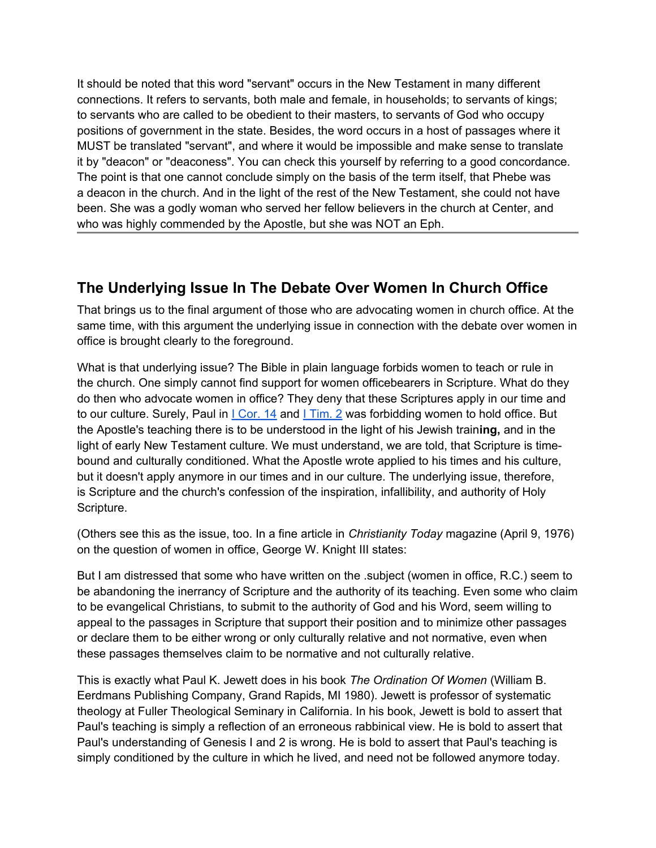It should be noted that this word "servant" occurs in the New Testament in many different connections. It refers to servants, both male and female, in households; to servants of kings; to servants who are called to be obedient to their masters, to servants of God who occupy positions of government in the state. Besides, the word occurs in a host of passages where it MUST be translated "servant", and where it would be impossible and make sense to translate it by "deacon" or "deaconess". You can check this yourself by referring to a good concordance. The point is that one cannot conclude simply on the basis of the term itself, that Phebe was a deacon in the church. And in the light of the rest of the New Testament, she could not have been. She was a godly woman who served her fellow believers in the church at Center, and who was highly commended by the Apostle, but she was NOT an Eph.

## **The Underlying Issue In The Debate Over Women In Church Office**

That brings us to the final argument of those who are advocating women in church office. At the same time, with this argument the underlying issue in connection with the debate over women in office is brought clearly to the foreground.

What is that underlying issue? The Bible in plain language forbids women to teach or rule in the church. One simply cannot find support for women officebearers in Scripture. What do they do then who advocate women in office? They deny that these Scriptures apply in our time and to our culture. Surely, Paul in *L[Cor. 14](http://bible.gospelcom.net/bible?version=KJV&passage=I+Cor+14)* and *LTim. 2* was forbidding women to hold office. But the Apostle's teaching there is to be understood in the light of his Jewish train**ing,** and in the light of early New Testament culture. We must understand, we are told, that Scripture is timebound and culturally conditioned. What the Apostle wrote applied to his times and his culture, but it doesn't apply anymore in our times and in our culture. The underlying issue, therefore, is Scripture and the church's confession of the inspiration, infallibility, and authority of Holy Scripture.

(Others see this as the issue, too. In a fine article in *Christianity Today* magazine (April 9, 1976) on the question of women in office, George W. Knight III states:

But I am distressed that some who have written on the .subject (women in office, R.C.) seem to be abandoning the inerrancy of Scripture and the authority of its teaching. Even some who claim to be evangelical Christians, to submit to the authority of God and his Word, seem willing to appeal to the passages in Scripture that support their position and to minimize other passages or declare them to be either wrong or only culturally relative and not normative, even when these passages themselves claim to be normative and not culturally relative.

This is exactly what Paul K. Jewett does in his book *The Ordination Of Women* (William B. Eerdmans Publishing Company, Grand Rapids, MI 1980). Jewett is professor of systematic theology at Fuller Theological Seminary in California. In his book, Jewett is bold to assert that Paul's teaching is simply a reflection of an erroneous rabbinical view. He is bold to assert that Paul's understanding of Genesis I and 2 is wrong. He is bold to assert that Paul's teaching is simply conditioned by the culture in which he lived, and need not be followed anymore today.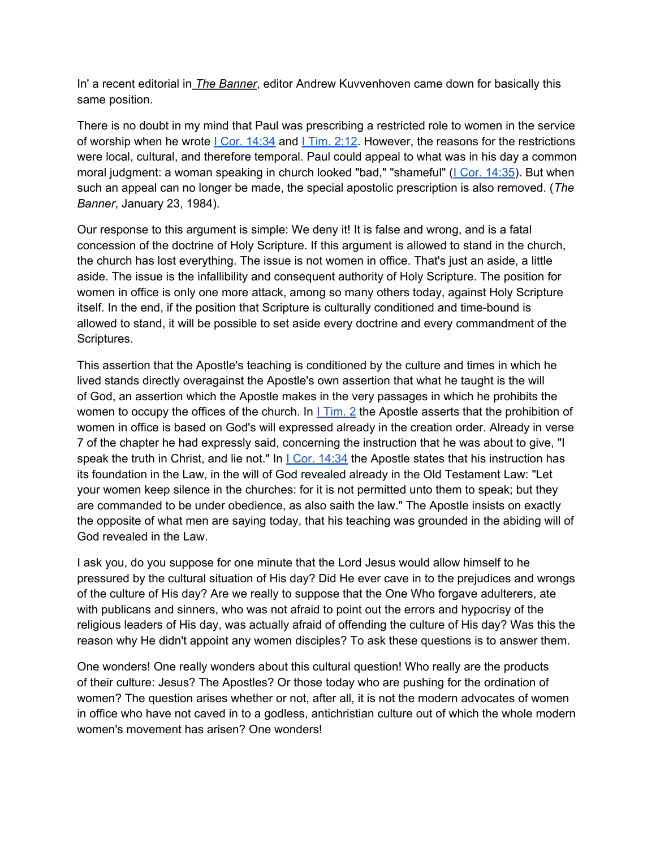In' a recent editorial in *The Banner*, editor Andrew Kuvvenhoven came down for basically this same position.

There is no doubt in my mind that Paul was prescribing a restricted role to women in the service of worship when he wrote  $\underline{I Cor. 14:34}$  $\underline{I Cor. 14:34}$  $\underline{I Cor. 14:34}$  $\underline{I Cor. 14:34}$  $\underline{I Cor. 14:34}$  and  $\underline{I Tim. 2:12}$ . However, the reasons for the restrictions were local, cultural, and therefore temporal. Paul could appeal to what was in his day a common moral judgment: a woman speaking in church looked "bad," "shameful" (*I Cor. 14:35*). But when such an appeal can no longer be made, the special apostolic prescription is also removed. (*The Banner*, January 23, 1984).

Our response to this argument is simple: We deny it! It is false and wrong, and is a fatal concession of the doctrine of Holy Scripture. If this argument is allowed to stand in the church, the church has lost everything. The issue is not women in office. That's just an aside, a little aside. The issue is the infallibility and consequent authority of Holy Scripture. The position for women in office is only one more attack, among so many others today, against Holy Scripture itself. In the end, if the position that Scripture is culturally conditioned and time-bound is allowed to stand, it will be possible to set aside every doctrine and every commandment of the Scriptures.

This assertion that the Apostle's teaching is conditioned by the culture and times in which he lived stands directly overagainst the Apostle's own assertion that what he taught is the will of God, an assertion which the Apostle makes in the very passages in which he prohibits the women to occupy the offices of the church. [I](http://bible.gospelcom.net/bible?version=KJV&passage=I+Tim+2)n I [Tim. 2](http://bible.gospelcom.net/bible?version=KJV&passage=I+Tim+2) the Apostle asserts that the prohibition of women in office is based on God's will expressed already in the creation order. Already in verse 7 of the chapter he had expressly said, concerning the instruction that he was about to give, "I speak the truth in Christ, and lie not." [I](http://bible.gospelcom.net/bible?version=KJV&passage=I+Cor+14:34)n  $\lfloor$  [Cor. 14:34](http://bible.gospelcom.net/bible?version=KJV&passage=I+Cor+14:34) the Apostle states that his instruction has its foundation in the Law, in the will of God revealed already in the Old Testament Law: "Let your women keep silence in the churches: for it is not permitted unto them to speak; but they are commanded to be under obedience, as also saith the law." The Apostle insists on exactly the opposite of what men are saying today, that his teaching was grounded in the abiding will of God revealed in the Law.

I ask you, do you suppose for one minute that the Lord Jesus would allow himself to he pressured by the cultural situation of His day? Did He ever cave in to the prejudices and wrongs of the culture of His day? Are we really to suppose that the One Who forgave adulterers, ate with publicans and sinners, who was not afraid to point out the errors and hypocrisy of the religious leaders of His day, was actually afraid of offending the culture of His day? Was this the reason why He didn't appoint any women disciples? To ask these questions is to answer them.

One wonders! One really wonders about this cultural question! Who really are the products of their culture: Jesus? The Apostles? Or those today who are pushing for the ordination of women? The question arises whether or not, after all, it is not the modern advocates of women in office who have not caved in to a godless, antichristian culture out of which the whole modern women's movement has arisen? One wonders!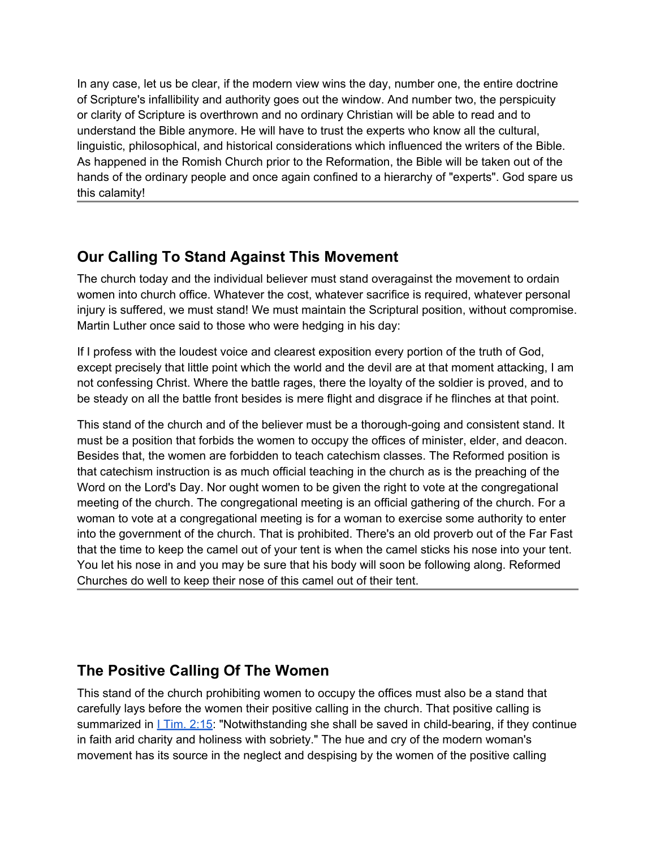In any case, let us be clear, if the modern view wins the day, number one, the entire doctrine of Scripture's infallibility and authority goes out the window. And number two, the perspicuity or clarity of Scripture is overthrown and no ordinary Christian will be able to read and to understand the Bible anymore. He will have to trust the experts who know all the cultural, linguistic, philosophical, and historical considerations which influenced the writers of the Bible. As happened in the Romish Church prior to the Reformation, the Bible will be taken out of the hands of the ordinary people and once again confined to a hierarchy of "experts". God spare us this calamity!

### **Our Calling To Stand Against This Movement**

The church today and the individual believer must stand overagainst the movement to ordain women into church office. Whatever the cost, whatever sacrifice is required, whatever personal injury is suffered, we must stand! We must maintain the Scriptural position, without compromise. Martin Luther once said to those who were hedging in his day:

If I profess with the loudest voice and clearest exposition every portion of the truth of God, except precisely that little point which the world and the devil are at that moment attacking, I am not confessing Christ. Where the battle rages, there the loyalty of the soldier is proved, and to be steady on all the battle front besides is mere flight and disgrace if he flinches at that point.

This stand of the church and of the believer must be a thorough-going and consistent stand. It must be a position that forbids the women to occupy the offices of minister, elder, and deacon. Besides that, the women are forbidden to teach catechism classes. The Reformed position is that catechism instruction is as much official teaching in the church as is the preaching of the Word on the Lord's Day. Nor ought women to be given the right to vote at the congregational meeting of the church. The congregational meeting is an official gathering of the church. For a woman to vote at a congregational meeting is for a woman to exercise some authority to enter into the government of the church. That is prohibited. There's an old proverb out of the Far Fast that the time to keep the camel out of your tent is when the camel sticks his nose into your tent. You let his nose in and you may be sure that his body will soon be following along. Reformed Churches do well to keep their nose of this camel out of their tent.

## **The Positive Calling Of The Women**

This stand of the church prohibiting women to occupy the offices must also be a stand that carefully lays before the women their positive calling in the church. That positive calling is summarized in  $l Tim. 2:15$ : "Notwithstanding she shall be saved in child-bearing, if they continue</u> in faith arid charity and holiness with sobriety." The hue and cry of the modern woman's movement has its source in the neglect and despising by the women of the positive calling